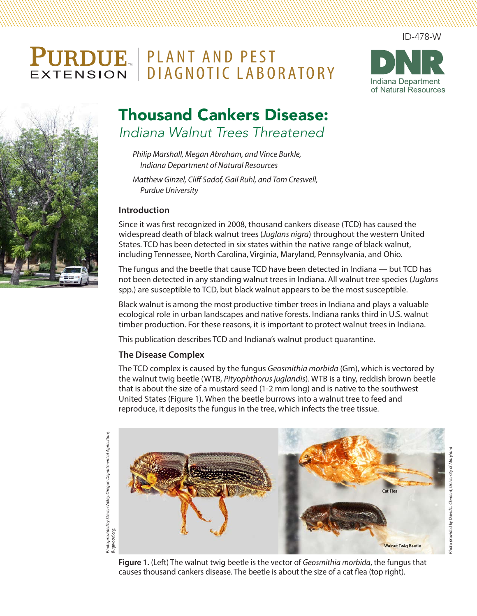ID-478-W

## PLANT AND PEST DIAGNOTIC LABORATORY





### Thousand Cankers Disease: Indiana Walnut Trees Threatened

*Philip Marshall, Megan Abraham, and Vince Burkle, Indiana Department of Natural Resources*

*Matthew Ginzel, Cliff Sadof, Gail Ruhl, and Tom Creswell, Purdue University*

#### **Introduction**

Since it was first recognized in 2008, thousand cankers disease (TCD) has caused the widespread death of black walnut trees (*Juglans nigra*) throughout the western United States. TCD has been detected in six states within the native range of black walnut, including Tennessee, North Carolina, Virginia, Maryland, Pennsylvania, and Ohio.

The fungus and the beetle that cause TCD have been detected in Indiana — but TCD has not been detected in any standing walnut trees in Indiana. All walnut tree species (*Juglans*  spp*.*) are susceptible to TCD, but black walnut appears to be the most susceptible.

Black walnut is among the most productive timber trees in Indiana and plays a valuable ecological role in urban landscapes and native forests. Indiana ranks third in U.S. walnut timber production. For these reasons, it is important to protect walnut trees in Indiana.

This publication describes TCD and Indiana's walnut product quarantine.

#### **The Disease Complex**

The TCD complex is caused by the fungus *Geosmithia morbida* (Gm), which is vectored by the walnut twig beetle (WTB, *Pityophthorus juglandis*). WTB is a tiny, reddish brown beetle that is about the size of a mustard seed (1-2 mm long) and is native to the southwest United States (Figure 1). When the beetle burrows into a walnut tree to feed and reproduce, it deposits the fungus in the tree, which infects the tree tissue.

*Photo provided by Steven Valley, Oregon Department of Agriculture,*  Photo provided by Steven Valley, Oregon Department of Agriculture,<br>Bugwood.org.



**Figure 1.** (Left) The walnut twig beetle is the vector of *Geosmithia morbida*, the fungus that causes thousand cankers disease. The beetle is about the size of a cat flea (top right).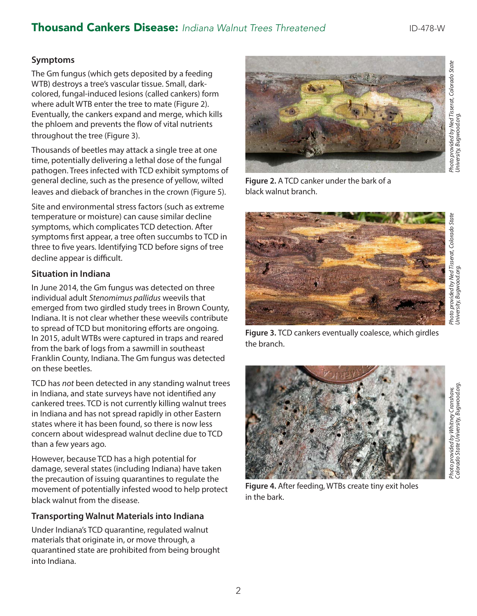# *Photo provided by Ned Tisserat, Colorado State*  Photo provided by Ned Tisserat, Colorado State<br>University, Bugwood.org. *University, Bugwood.org.*

**Symptoms**

The Gm fungus (which gets deposited by a feeding WTB) destroys a tree's vascular tissue. Small, darkcolored, fungal-induced lesions (called cankers) form where adult WTB enter the tree to mate (Figure 2). Eventually, the cankers expand and merge, which kills the phloem and prevents the flow of vital nutrients throughout the tree (Figure 3).

Thousands of beetles may attack a single tree at one time, potentially delivering a lethal dose of the fungal pathogen. Trees infected with TCD exhibit symptoms of general decline, such as the presence of yellow, wilted leaves and dieback of branches in the crown (Figure 5).

Site and environmental stress factors (such as extreme temperature or moisture) can cause similar decline symptoms, which complicates TCD detection. After symptoms first appear, a tree often succumbs to TCD in three to five years. Identifying TCD before signs of tree decline appear is difficult.

#### **Situation in Indiana**

In June 2014, the Gm fungus was detected on three individual adult *Stenomimus pallidus* weevils that emerged from two girdled study trees in Brown County, Indiana. It is not clear whether these weevils contribute to spread of TCD but monitoring efforts are ongoing. In 2015, adult WTBs were captured in traps and reared from the bark of logs from a sawmill in southeast Franklin County, Indiana. The Gm fungus was detected on these beetles.

TCD has *not* been detected in any standing walnut trees in Indiana, and state surveys have not identified any cankered trees. TCD is not currently killing walnut trees in Indiana and has not spread rapidly in other Eastern states where it has been found, so there is now less concern about widespread walnut decline due to TCD than a few years ago.

However, because TCD has a high potential for damage, several states (including Indiana) have taken the precaution of issuing quarantines to regulate the movement of potentially infested wood to help protect black walnut from the disease.

#### **Transporting Walnut Materials into Indiana**

Under Indiana's TCD quarantine, regulated walnut materials that originate in, or move through, a quarantined state are prohibited from being brought into Indiana.



**Figure 2.** A TCD canker under the bark of a black walnut branch.



*Photo provided by Ned Tisserat, Colorado State*  Ned Tisserat, Colorado State Photo provided by Ned Ti:<br>University, Bugwood.org. *University, Bugwood.org.*

**Figure 3.** TCD cankers eventually coalesce, which girdles the branch.



**Figure 4.** After feeding, WTBs create tiny exit holes in the bark.